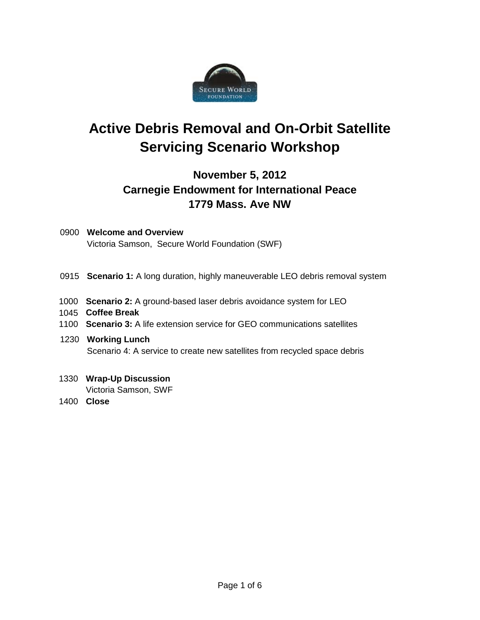

# **Active Debris Removal and On-Orbit Satellite Servicing Scenario Workshop**

## **November 5, 2012 Carnegie Endowment for International Peace 1779 Mass. Ave NW**

- 0900 **Welcome and Overview** Victoria Samson, Secure World Foundation (SWF)
- 0915 **Scenario 1:** A long duration, highly maneuverable LEO debris removal system
- 1000 **Scenario 2:** A ground-based laser debris avoidance system for LEO
- 1045 **Coffee Break**
- 1100 **Scenario 3:** A life extension service for GEO communications satellites
- 1230 **Working Lunch** Scenario 4: A service to create new satellites from recycled space debris
- 1330 **Wrap-Up Discussion**

Victoria Samson, SWF

1400 **Close**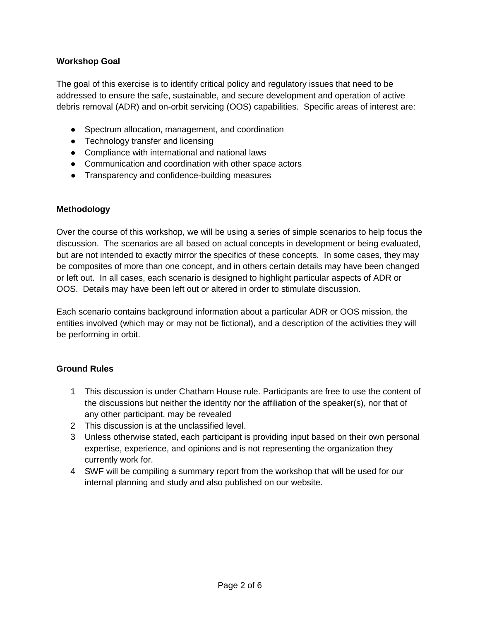#### **Workshop Goal**

The goal of this exercise is to identify critical policy and regulatory issues that need to be addressed to ensure the safe, sustainable, and secure development and operation of active debris removal (ADR) and on-orbit servicing (OOS) capabilities. Specific areas of interest are:

- Spectrum allocation, management, and coordination
- Technology transfer and licensing
- Compliance with international and national laws
- Communication and coordination with other space actors
- Transparency and confidence-building measures

#### **Methodology**

Over the course of this workshop, we will be using a series of simple scenarios to help focus the discussion. The scenarios are all based on actual concepts in development or being evaluated, but are not intended to exactly mirror the specifics of these concepts. In some cases, they may be composites of more than one concept, and in others certain details may have been changed or left out. In all cases, each scenario is designed to highlight particular aspects of ADR or OOS. Details may have been left out or altered in order to stimulate discussion.

Each scenario contains background information about a particular ADR or OOS mission, the entities involved (which may or may not be fictional), and a description of the activities they will be performing in orbit.

#### **Ground Rules**

- 1 This discussion is under Chatham House rule. Participants are free to use the content of the discussions but neither the identity nor the affiliation of the speaker(s), nor that of any other participant, may be revealed
- 2 This discussion is at the unclassified level.
- 3 Unless otherwise stated, each participant is providing input based on their own personal expertise, experience, and opinions and is not representing the organization they currently work for.
- 4 SWF will be compiling a summary report from the workshop that will be used for our internal planning and study and also published on our website.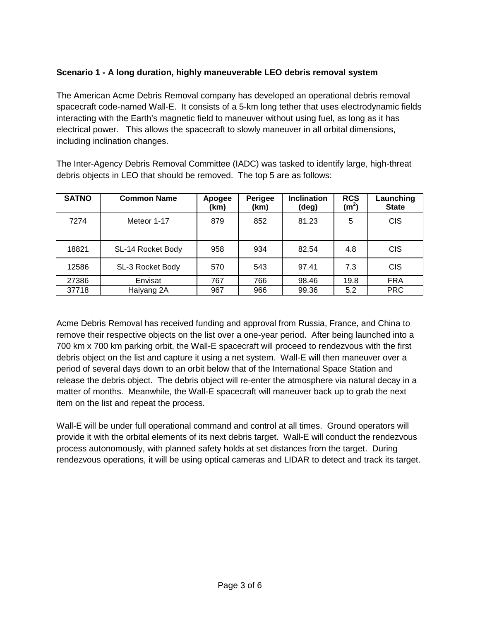### **Scenario 1 - A long duration, highly maneuverable LEO debris removal system**

The American Acme Debris Removal company has developed an operational debris removal spacecraft code-named Wall-E. It consists of a 5-km long tether that uses electrodynamic fields interacting with the Earth's magnetic field to maneuver without using fuel, as long as it has electrical power. This allows the spacecraft to slowly maneuver in all orbital dimensions, including inclination changes.

The Inter-Agency Debris Removal Committee (IADC) was tasked to identify large, high-threat debris objects in LEO that should be removed. The top 5 are as follows:

| <b>SATNO</b> | <b>Common Name</b> | Apogee<br>(km) | Perigee<br>(km) | <b>Inclination</b><br>(deg) | <b>RCS</b><br>(m <sup>2</sup> ) | Launching<br><b>State</b> |
|--------------|--------------------|----------------|-----------------|-----------------------------|---------------------------------|---------------------------|
| 7274         | Meteor 1-17        | 879            | 852             | 81.23                       | 5                               | <b>CIS</b>                |
| 18821        | SL-14 Rocket Body  | 958            | 934             | 82.54                       | 4.8                             | <b>CIS</b>                |
| 12586        | SL-3 Rocket Body   | 570            | 543             | 97.41                       | 7.3                             | <b>CIS</b>                |
| 27386        | Envisat            | 767            | 766             | 98.46                       | 19.8                            | <b>FRA</b>                |
| 37718        | Haiyang 2A         | 967            | 966             | 99.36                       | 5.2                             | <b>PRC</b>                |

Acme Debris Removal has received funding and approval from Russia, France, and China to remove their respective objects on the list over a one-year period. After being launched into a 700 km x 700 km parking orbit, the Wall-E spacecraft will proceed to rendezvous with the first debris object on the list and capture it using a net system. Wall-E will then maneuver over a period of several days down to an orbit below that of the International Space Station and release the debris object. The debris object will re-enter the atmosphere via natural decay in a matter of months. Meanwhile, the Wall-E spacecraft will maneuver back up to grab the next item on the list and repeat the process.

Wall-E will be under full operational command and control at all times. Ground operators will provide it with the orbital elements of its next debris target. Wall-E will conduct the rendezvous process autonomously, with planned safety holds at set distances from the target. During rendezvous operations, it will be using optical cameras and LIDAR to detect and track its target.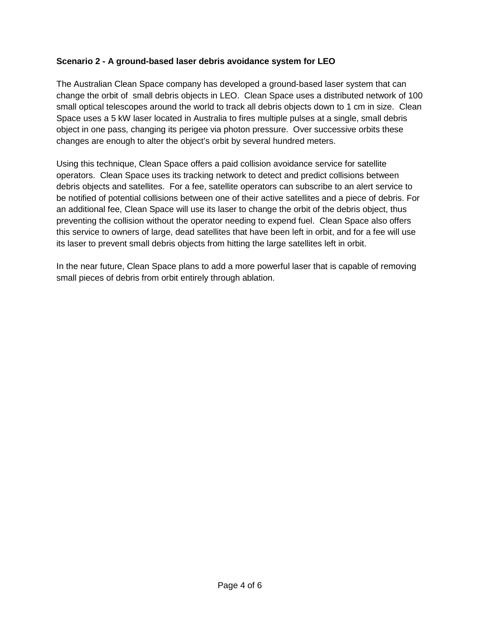#### **Scenario 2 - A ground-based laser debris avoidance system for LEO**

The Australian Clean Space company has developed a ground-based laser system that can change the orbit of small debris objects in LEO. Clean Space uses a distributed network of 100 small optical telescopes around the world to track all debris objects down to 1 cm in size. Clean Space uses a 5 kW laser located in Australia to fires multiple pulses at a single, small debris object in one pass, changing its perigee via photon pressure. Over successive orbits these changes are enough to alter the object's orbit by several hundred meters.

Using this technique, Clean Space offers a paid collision avoidance service for satellite operators. Clean Space uses its tracking network to detect and predict collisions between debris objects and satellites. For a fee, satellite operators can subscribe to an alert service to be notified of potential collisions between one of their active satellites and a piece of debris. For an additional fee, Clean Space will use its laser to change the orbit of the debris object, thus preventing the collision without the operator needing to expend fuel. Clean Space also offers this service to owners of large, dead satellites that have been left in orbit, and for a fee will use its laser to prevent small debris objects from hitting the large satellites left in orbit.

In the near future, Clean Space plans to add a more powerful laser that is capable of removing small pieces of debris from orbit entirely through ablation.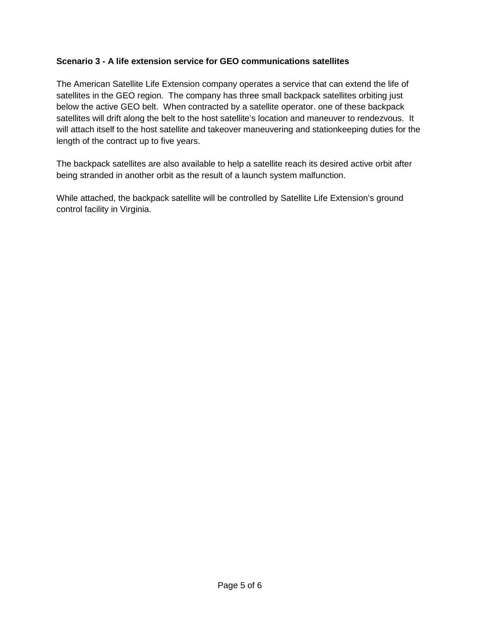#### **Scenario 3 - A life extension service for GEO communications satellites**

The American Satellite Life Extension company operates a service that can extend the life of satellites in the GEO region. The company has three small backpack satellites orbiting just below the active GEO belt. When contracted by a satellite operator. one of these backpack satellites will drift along the belt to the host satellite's location and maneuver to rendezvous. It will attach itself to the host satellite and takeover maneuvering and stationkeeping duties for the length of the contract up to five years.

The backpack satellites are also available to help a satellite reach its desired active orbit after being stranded in another orbit as the result of a launch system malfunction.

While attached, the backpack satellite will be controlled by Satellite Life Extension's ground control facility in Virginia.